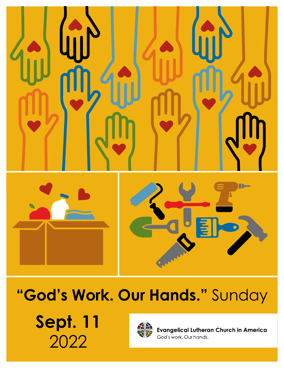

# **"God's Work. Our Hands."** Sunday

**Sept. 11** 2022



**Evangelical Lutheran Church in America** God's work. Our hands.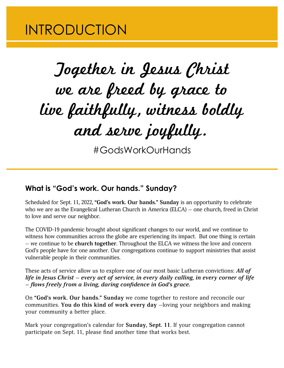### INTRODUCTION

# Together in Jesus Christ we are freed by grace to live faithfully, witness boldly and serve joyfully.

#GodsWorkOurHands

### **What is "God's work. Our hands." Sunday?**

Scheduled for Sept. 11, 2022, **"God's work. Our hands." Sunday** is an opportunity to celebrate who we are as the Evangelical Lutheran Church in America (ELCA) — one church, freed in Christ to love and serve our neighbor.

The COVID-19 pandemic brought about significant changes to our world, and we continue to witness how communities across the globe are experiencing its impact. But one thing is certain — we continue to be **church together**. Throughout the ELCA we witness the love and concern God's people have for one another. Our congregations continue to support ministries that assist vulnerable people in their communities.

These acts of service allow us to explore one of our most basic Lutheran convictions: *All of life in Jesus Christ — every act of service, in every daily calling, in every corner of life — flows freely from a living, daring confidence in God's grace.*

On **"God's work. Our hands." Sunday** we come together to restore and reconcile our communities. **You do this kind of work every day** —loving your neighbors and making your community a better place.

Mark your congregation's calendar for **Sunday, Sept. 11**. If your congregation cannot participate on Sept. 11, please find another time that works best.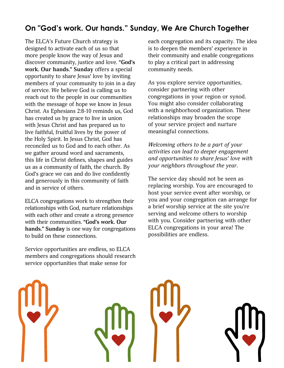### **On "God's work. Our hands." Sunday, We Are Church Together**

The ELCA's Future Church strategy is designed to activate each of us so that more people know the way of Jesus and discover community, justice and love. **"God's work. Our hands." Sunday** offers a special opportunity to share Jesus' love by inviting members of your community to join in a day of service. We believe God is calling us to reach out to the people in our communities with the message of hope we know in Jesus Christ. As Ephesians 2:8-10 reminds us, God has created us by grace to live in union with Jesus Christ and has prepared us to live faithful, fruitful lives by the power of the Holy Spirit. In Jesus Christ, God has reconciled us to God and to each other. As we gather around word and sacraments, this life in Christ defines, shapes and guides us as a community of faith, the church. By God's grace we can and do live confidently and generously in this community of faith and in service of others.

ELCA congregations work to strengthen their relationships with God, nurture relationships with each other and create a strong presence with their communities. **"God's work. Our hands." Sunday** is one way for congregations to build on these connections.

Service opportunities are endless, so ELCA members and congregations should research service opportunities that make sense for

each congregation and its capacity. The idea is to deepen the members' experience in their community and enable congregations to play a critical part in addressing community needs.

As you explore service opportunities, consider partnering with other congregations in your region or synod. You might also consider collaborating with a neighborhood organization. These relationships may broaden the scope of your service project and nurture meaningful connections.

*Welcoming others to be a part of your activities can lead to deeper engagement and opportunities to share Jesus' love with your neighbors throughout the year.*

The service day should not be seen as replacing worship. You are encouraged to host your service event after worship, or you and your congregation can arrange for a brief worship service at the site you're serving and welcome others to worship with you. Consider partnering with other ELCA congregations in your area! The possibilities are endless.

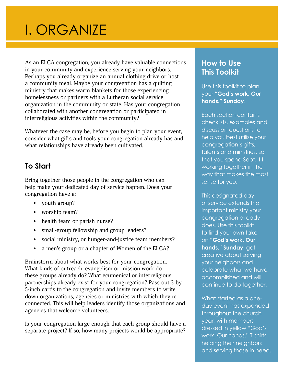## I. ORGANIZE

As an ELCA congregation, you already have valuable connections in your community and experience serving your neighbors. Perhaps you already organize an annual clothing drive or host a community meal. Maybe your congregation has a quilting ministry that makes warm blankets for those experiencing homelessness or partners with a Lutheran social service organization in the community or state. Has your congregation collaborated with another congregation or participated in interreligious activities within the community?

Whatever the case may be, before you begin to plan your event, consider what gifts and tools your congregation already has and what relationships have already been cultivated.

### **To Start**

Bring together those people in the congregation who can help make your dedicated day of service happen. Does your congregation have a:

- youth group?
- worship team?
- health team or parish nurse?
- small-group fellowship and group leaders?
- social ministry, or hunger-and-justice team members?
- a men's group or a chapter of Women of the ELCA?

Brainstorm about what works best for your congregation. What kinds of outreach, evangelism or mission work do these groups already do? What ecumenical or interreligious partnerships already exist for your congregation? Pass out 3-by-5-inch cards to the congregation and invite members to write down organizations, agencies or ministries with which they're connected. This will help leaders identify those organizations and agencies that welcome volunteers.

Is your congregation large enough that each group should have a separate project? If so, how many projects would be appropriate?

### **How to Use This Toolkit**

Use this toolkit to plan your **"God's work. Our hands." Sunday**.

Each section contains checklists, examples and discussion questions to help you best utilize your congregation's gifts, talents and ministries, so that you spend Sept. 11 working together in the way that makes the most sense for you.

This designated day of service extends the important ministry your congregation already does. Use this toolkit to find your own take on **"God's work. Our hands." Sunday**, get creative about serving your neighbors and celebrate what we have accomplished and will continue to do together.

What started as a oneday event has expanded throughout the church year, with members dressed in yellow "God's work. Our hands." T-shirts helping their neighbors and serving those in need.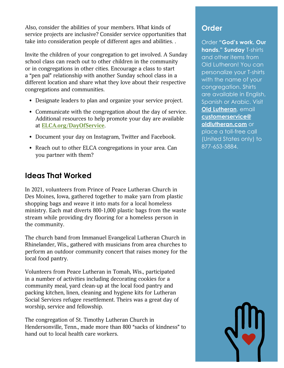Also, consider the abilities of your members. What kinds of service projects are inclusive? Consider service opportunities that take into consideration people of different ages and abilities. .

Invite the children of your congregation to get involved. A Sunday school class can reach out to other children in the community or in congregations in other cities. Encourage a class to start a "pen pal" relationship with another Sunday school class in a different location and share what they love about their respective congregations and communities.

- Designate leaders to plan and organize your service project.
- Communicate with the congregation about the day of service. Additional resources to help promote your day are available at **[ELCA.org/DayOfService](http://www.elca.org/DayOfService)**.
- Document your day on Instagram, Twitter and Facebook.
- Reach out to other ELCA congregations in your area. Can you partner with them?

### **Ideas That Worked**

In 2021, volunteers from Prince of Peace Lutheran Church in Des Moines, Iowa, gathered together to make yarn from plastic shopping bags and weave it into mats for a local homeless ministry. Each mat diverts 800-1,000 plastic bags from the waste stream while providing dry flooring for a homeless person in the community.

The church band from Immanuel Evangelical Lutheran Church in Rhinelander, Wis., gathered with musicians from area churches to perform an outdoor community concert that raises money for the local food pantry.

Volunteers from Peace Lutheran in Tomah, Wis., participated in a number of activities including decorating cookies for a community meal, yard clean-up at the local food pantry and packing kitchen, linen, cleaning and hygiene kits for Lutheran Social Services refugee resettlement. Theirs was a great day of worship, service and fellowship.

The congregation of St. Timothy Lutheran Church in Hendersonville, Tenn., made more than 800 "sacks of kindness" to hand out to local health care workers.

### **Order**

Order **"God's work. Our hands." Sunday** T-shirts and other items from Old Lutheran! You can personalize your T-shirts with the name of your congregation. Shirts are available in English, Spanish or Arabic. Visit **[Old Lutheran](https://oldlutheran.com/collections/elca)**, email **[customerservice@](mailto:customerservice%40oldlutheran.com?subject=) [oldlutheran.com](mailto:customerservice%40oldlutheran.com?subject=)** or place a toll-free call (United States only) to

877-653-5884.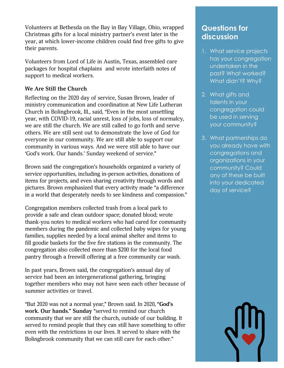Volunteers at Bethesda on the Bay in Bay Village, Ohio, wrapped Christmas gifts for a local ministry partner's event later in the year, at which lower-income children could find free gifts to give their parents.

Volunteers from Lord of Life in Austin, Texas, assembled care packages for hospital chaplains and wrote interfaith notes of support to medical workers.

### **We Are Still the Church**

Reflecting on the 2020 day of service, Susan Brown, leader of ministry communication and coordination at New Life Lutheran Church in Bolingbrook, Ill., said, "Even in the most unsettling year, with COVID-19, racial unrest, loss of jobs, loss of normalcy, we are still the church. We are still called to go forth and serve others. We are still sent out to demonstrate the love of God for everyone in our community. We are still able to support our community in various ways. And we were still able to have our 'God's work. Our hands.' Sunday weekend of service."

Brown said the congregation's households organized a variety of service opportunities, including in-person activities, donations of items for projects, and even sharing creativity through words and pictures. Brown emphasized that every activity made "a difference in a world that desperately needs to see kindness and compassion."

Congregation members collected trash from a local park to provide a safe and clean outdoor space; donated blood; wrote thank-you notes to medical workers who had cared for community members during the pandemic and collected baby wipes for young families, supplies needed by a local animal shelter and items to fill goodie baskets for the five fire stations in the community. The congregation also collected more than \$200 for the local food pantry through a freewill offering at a free community car wash.

In past years, Brown said, the congregation's annual day of service had been an intergenerational gathering, bringing together members who may not have seen each other because of summer activities or travel.

"But 2020 was not a normal year," Brown said. In 2020, **"God's work. Our hands." Sunday** "served to remind our church community that we are still the church, outside of our building. It served to remind people that they can still have something to offer even with the restrictions in our lives. It served to share with the Bolingbrook community that we can still care for each other."

### **Questions for discussion**

- 1. What service projects has your congregation undertaken in the past? What worked? What didn't? Why?
- 2. What gifts and talents in your congregation could be used in serving your community?
- 3. What partnerships do you already have with congregations and organizations in your community? Could any of these be built into your dedicated day of service?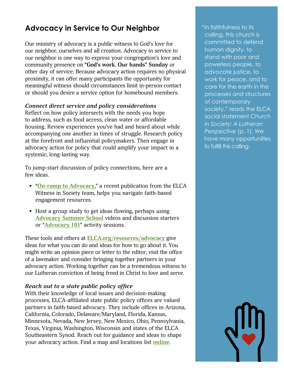### Advocacy in Service to Our Neighbor **The Service of Service Service Service Service Service Service Service Service Service Service Service Service Service Service Service Service Service Service Service Service Service Se**

Our ministry of advocacy is a public witness to God's love for our neighbor, ourselves and all creation. Advocacy in service to our neighbor is one way to express your congregation's love and community presence on **"God's work. Our hands" Sunday** or other day of service. Because advocacy action requires no physical proximity, it can offer many participants the opportunity for meaningful witness should circumstances limit in-person contact or should you desire a service option for homebound members.

### *Connect direct service and policy considerations*

Reflect on how policy intersects with the needs you hope to address, such as food access, clean water or affordable housing. Review experiences you've had and heard about while accompanying one another in times of struggle. Research policy at the forefront and influential policymakers. Then engage in advocacy action for policy that could amplify your impact in a systemic, long-lasting way.

To jump-start discussion of policy connections, here are a few ideas.

- "**[On-ramp to Advocacy](https://download.elca.org/ELCA%20Resource%20Repository/onramptoadvocacyfinal.pdf)**," a recent publication from the ELCA Witness in Society team, helps you navigate faith-based engagement resources.
- Host a group study to get ideas flowing, perhaps using **[Advocacy Summer School](https://vimeo.com/showcase/8860262)** videos and discussion starters or "**[Advocacy 101](https://download.elca.org/ELCA%20Resource%20Repository/2021advocacy101foryoungadults.pdf)**" activity sessions.

These tools and others at **[ELCA.org/resources/advocacy](http://www.elca.org/resources/advocacy)** give ideas for what you can do and ideas for how to go about it. You might write an opinion piece or letter to the editor, visit the office of a lawmaker and consider bringing together partners in your advocacy action. Working together can be a tremendous witness to our Lutheran conviction of being freed in Christ to love and serve.

### *Reach out to a state public policy office*

With their knowledge of local issues and decision-making processes, ELCA-affiliated state public policy offices are valued partners in faith-based advocacy. They include offices in Arizona, California, Colorado, Delaware/Maryland, Florida, Kansas, Minnesota, Nevada, New Jersey, New Mexico, Ohio, Pennsylvania, Texas, Virginia, Washington, Wisconsin and states of the ELCA Southeastern Synod. Reach out for guidance and ideas to shape your advocacy action. Find a map and locations list **[online](https://download.elca.org/ELCA%20Resource%20Repository/ELCA_Advocacy_map_and_list.pdf)**.

 calling, this church is committed to defend human dignity, to stand with poor and powerless people, to advocate justice, to work for peace, and to care for the earth in the processes and structures of contemporary society," reads the ELCA social statement *Church in Society: A Lutheran Perspective* (p. 1). We have many opportunities to fulfill this calling.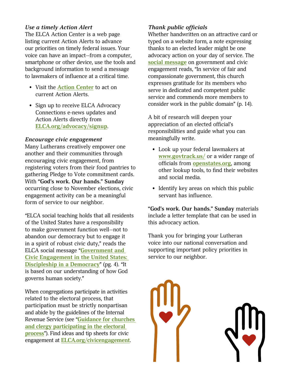### *Use a timely Action Alert*

The ELCA Action Center is a web page listing current Action Alerts to advance our priorities on timely federal issues. Your voice can have an impact—from a computer, smartphone or other device, use the tools and background information to send a message to lawmakers of influence at a critical time.

- Visit the **[Action Center](https://support.elca.org/site/SPageNavigator/elca_action_center.html;jsessionid=00000000.app20015a?NONCE_TOKEN=3E5988B4B5C7A5F735E8E1F1F11F509E)** to act on current Action Alerts.
- Sign up to receive ELCA Advocacy Connections e-news updates and Action Alerts directly from **[ELCA.org/advocacy/signup](http://support.elca.org/site/Survey?ACTION_REQUIRED=URI_ACTION_USER_REQUESTS&SURVEY_ID=1621)**.

### *Encourage civic engagement*

Many Lutherans creatively empower one another and their communities through encouraging civic engagement, from registering voters from their food pantries to gathering Pledge to Vote commitment cards. With **"God's work. Our hands." Sunday** occurring close to November elections, civic engagement activity can be a meaningful form of service to our neighbor.

"ELCA social teaching holds that all residents of the United States have a responsibility to make government function well—not to abandon our democracy but to engage it in a spirit of robust civic duty," reads the ELCA social message "**[Government and](https://download.elca.org/ELCA%20Resource%20Repository/Government_and_Civic_Engagement_Social_Message.pdf)  [Civic Engagement in the United States:](https://download.elca.org/ELCA%20Resource%20Repository/Government_and_Civic_Engagement_Social_Message.pdf)  [Discipleship in a Democracy](https://download.elca.org/ELCA%20Resource%20Repository/Government_and_Civic_Engagement_Social_Message.pdf)**" (pg. 4). "It is based on our understanding of how God governs human society."

When congregations participate in activities related to the electoral process, that participation must be strictly nonpartisan and abide by the guidelines of the Internal Revenue Service (see "**[Guidance for churches](https://download.elca.org/ELCA%20Resource%20Repository/Being_A_Public_Church.pdf)  [and clergy participating in the electoral](https://download.elca.org/ELCA%20Resource%20Repository/Being_A_Public_Church.pdf)  [process](https://download.elca.org/ELCA%20Resource%20Repository/Being_A_Public_Church.pdf)**"). Find ideas and tip sheets for civic engagement at **[ELCA.org/civicengagement](https://www.elca.org/Resources/Advocacy#CivicEngagement)**.

### *Thank public officials*

Whether handwritten on an attractive card or typed on a website form, a note expressing thanks to an elected leader might be one advocacy action on your day of service. The **[social message](https://download.elca.org/ELCA%20Resource%20Repository/Government_and_Civic_Engagement_Social_Message.pdf)** on government and civic engagement reads, "In service of fair and compassionate government, this church expresses gratitude for its members who serve in dedicated and competent public service and commends more members to consider work in the public domain" (p. 14).

A bit of research will deepen your appreciation of an elected official's responsibilities and guide what you can meaningfully write.

- Look up your federal lawmakers at **[www.govtrack.us/](https://www.govtrack.us/)** or a wider range of officials from **[openstates.org](https://openstates.org/)**, among other lookup tools, to find their websites and social media.
- Identify key areas on which this public servant has influence.

**"God's work. Our hands." Sunday** materials include a letter template that can be used in this advocacy action.

Thank you for bringing your Lutheran voice into our national conversation and supporting important policy priorities in service to our neighbor.

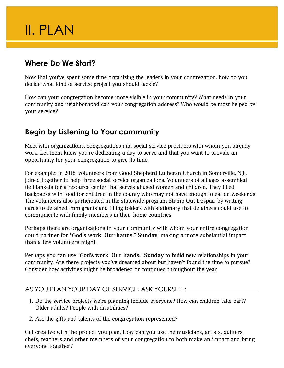### II. PLAN

### **Where Do We Start?**

Now that you've spent some time organizing the leaders in your congregation, how do you decide what kind of service project you should tackle?

How can your congregation become more visible in your community? What needs in your community and neighborhood can your congregation address? Who would be most helped by your service?

### **Begin by Listening to Your community**

Meet with organizations, congregations and social service providers with whom you already work. Let them know you're dedicating a day to serve and that you want to provide an opportunity for your congregation to give its time.

For example: In 2018, volunteers from Good Shepherd Lutheran Church in Somerville, N.J., joined together to help three social service organizations. Volunteers of all ages assembled tie blankets for a resource center that serves abused women and children. They filled backpacks with food for children in the county who may not have enough to eat on weekends. The volunteers also participated in the statewide program Stamp Out Despair by writing cards to detained immigrants and filling folders with stationary that detainees could use to communicate with family members in their home countries.

Perhaps there are organizations in your community with whom your entire congregation could partner for **"God's work. Our hands." Sunday**, making a more substantial impact than a few volunteers might.

Perhaps you can use **"God's work. Our hands." Sunday** to build new relationships in your community. Are there projects you've dreamed about but haven't found the time to pursue? Consider how activities might be broadened or continued throughout the year.

### AS YOU PLAN YOUR DAY OF SERVICE, ASK YOURSELF:

- 1. Do the service projects we're planning include everyone? How can children take part? Older adults? People with disabilities?
- 2. Are the gifts and talents of the congregation represented?

Get creative with the project you plan. How can you use the musicians, artists, quilters, chefs, teachers and other members of your congregation to both make an impact and bring everyone together?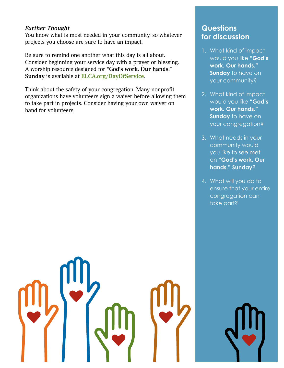### *Further Thought*

You know what is most needed in your community, so whatever projects you choose are sure to have an impact.

Be sure to remind one another what this day is all about. Consider beginning your service day with a prayer or blessing. A worship resource designed for **"God's work. Our hands." Sunday** is available at **[ELCA.org/DayOfService](http://www.ELCA.org/DayOfService)**.

Think about the safety of your congregation. Many nonprofit organizations have volunteers sign a waiver before allowing them to take part in projects. Consider having your own waiver on hand for volunteers.

### **Questions for discussion**

- 1. What kind of impact would you like **"God's work. Our hands." Sunday** to have on your community?
- 2. What kind of impact would you like **"God's work. Our hands." Sunday** to have on your congregation?
- 3. What needs in your community would you like to see met on **"God's work. Our hands." Sunday**?
- 4. What will you do to ensure that your entire congregation can take part?

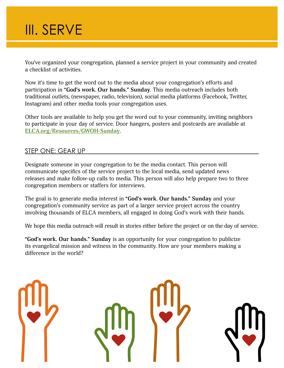You've organized your congregation, planned a service project in your community and created a checklist of activities.

Now it's time to get the word out to the media about your congregation's efforts and participation in **"God's work. Our hands." Sunday**. This media outreach includes both traditional outlets, (newspaper, radio, television), social media platforms (Facebook, Twitter, Instagram) and other media tools your congregation uses.

Other tools are available to help you get the word out to your community, inviting neighbors to participate in your day of service. Door hangers, posters and postcards are available at **[ELCA.org/Resources/GWOH-Sunday](http://www.ELCA.org/Resources/GWOH-Sunday)**.

### STEP ONE: GEAR UP

Designate someone in your congregation to be the media contact. This person will communicate specifics of the service project to the local media, send updated news releases and make follow-up calls to media. This person will also help prepare two to three congregation members or staffers for interviews.

The goal is to generate media interest in **"God's work. Our hands." Sunday** and your congregation's community service as part of a larger service project across the country involving thousands of ELCA members, all engaged in doing God's work with their hands.

We hope this media outreach will result in stories either before the project or on the day of service.

**"God's work. Our hands." Sunday** is an opportunity for your congregation to publicize its evangelical mission and witness in the community. How are your members making a difference in the world?

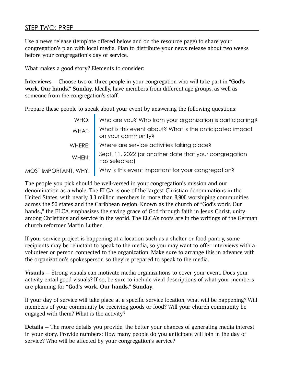### STEP TWO: PREP

Use a news release (template offered below and on the resource page) to share your congregation's plan with local media. Plan to distribute your news release about two weeks before your congregation's day of service.

What makes a good story? Elements to consider:

**Interviews —** Choose two or three people in your congregation who will take part in **"God's work. Our hands." Sunday**. Ideally, have members from different age groups, as well as someone from the congregation's staff.

Prepare these people to speak about your event by answering the following questions:

| WHO:                 | Who are you? Who from your organization is participating?                      |
|----------------------|--------------------------------------------------------------------------------|
| WHAT:                | What is this event about? What is the anticipated impact<br>on your community? |
| WHERE:               | Where are service activities taking place?                                     |
| WHEN:                | Sept. 11, 2022 (or another date that your congregation<br>has selected)        |
| MOST IMPORTANT, WHY: | Why is this event important for your congregation?                             |

The people you pick should be well-versed in your congregation's mission and our denomination as a whole. The ELCA is one of the largest Christian denominations in the United States, with nearly 3.3 million members in more than 8,900 worshiping communities across the 50 states and the Caribbean region. Known as the church of "God's work. Our hands.," the ELCA emphasizes the saving grace of God through faith in Jesus Christ, unity among Christians and service in the world. The ELCA's roots are in the writings of the German church reformer Martin Luther.

If your service project is happening at a location such as a shelter or food pantry, some recipients may be reluctant to speak to the media, so you may want to offer interviews with a volunteer or person connected to the organization. Make sure to arrange this in advance with the organization's spokesperson so they're prepared to speak to the media.

**Visuals —** Strong visuals can motivate media organizations to cover your event. Does your activity entail good visuals? If so, be sure to include vivid descriptions of what your members are planning for **"God's work. Our hands." Sunday**.

If your day of service will take place at a specific service location, what will be happening? Will members of your community be receiving goods or food? Will your church community be engaged with them? What is the activity?

**Details —** The more details you provide, the better your chances of generating media interest in your story. Provide numbers: How many people do you anticipate will join in the day of service? Who will be affected by your congregation's service?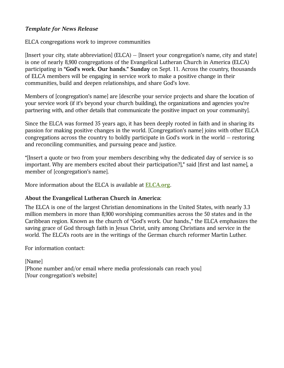### *Template for News Release*

ELCA congregations work to improve communities

[Insert your city, state abbreviation] (ELCA) — [Insert your congregation's name, city and state] is one of nearly 8,900 congregations of the Evangelical Lutheran Church in America (ELCA) participating in **"God's work. Our hands." Sunday** on Sept. 11. Across the country, thousands of ELCA members will be engaging in service work to make a positive change in their communities, build and deepen relationships, and share God's love.

Members of [congregation's name] are [describe your service projects and share the location of your service work (if it's beyond your church building), the organizations and agencies you're partnering with, and other details that communicate the positive impact on your community].

Since the ELCA was formed 35 years ago, it has been deeply rooted in faith and in sharing its passion for making positive changes in the world. [Congregation's name] joins with other ELCA congregations across the country to boldly participate in God's work in the world — restoring and reconciling communities, and pursuing peace and justice.

"[Insert a quote or two from your members describing why the dedicated day of service is so important. Why are members excited about their participation?]," said [first and last name], a member of [congregation's name].

More information about the ELCA is available at **[ELCA.org](http://www.ELCA.org)**.

### **About the Evangelical Lutheran Church in America:**

The ELCA is one of the largest Christian denominations in the United States, with nearly 3.3 million members in more than 8,900 worshiping communities across the 50 states and in the Caribbean region. Known as the church of "God's work. Our hands.," the ELCA emphasizes the saving grace of God through faith in Jesus Christ, unity among Christians and service in the world. The ELCA's roots are in the writings of the German church reformer Martin Luther.

For information contact:

[Name] [Phone number and/or email where media professionals can reach you] [Your congregation's website]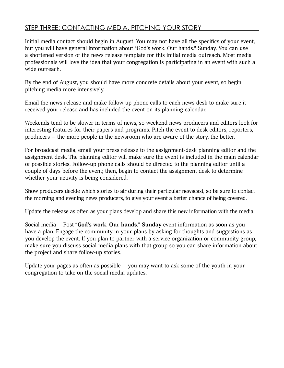### STEP THREE: CONTACTING MEDIA, PITCHING YOUR STORY

Initial media contact should begin in August. You may not have all the specifics of your event, but you will have general information about "God's work. Our hands." Sunday. You can use a shortened version of the news release template for this initial media outreach. Most media professionals will love the idea that your congregation is participating in an event with such a wide outreach.

By the end of August, you should have more concrete details about your event, so begin pitching media more intensively.

Email the news release and make follow-up phone calls to each news desk to make sure it received your release and has included the event on its planning calendar.

Weekends tend to be slower in terms of news, so weekend news producers and editors look for interesting features for their papers and programs. Pitch the event to desk editors, reporters, producers — the more people in the newsroom who are aware of the story, the better.

For broadcast media, email your press release to the assignment-desk planning editor and the assignment desk. The planning editor will make sure the event is included in the main calendar of possible stories. Follow-up phone calls should be directed to the planning editor until a couple of days before the event; then, begin to contact the assignment desk to determine whether your activity is being considered.

Show producers decide which stories to air during their particular newscast, so be sure to contact the morning and evening news producers, to give your event a better chance of being covered.

Update the release as often as your plans develop and share this new information with the media.

Social media — Post **"God's work. Our hands." Sunday** event information as soon as you have a plan. Engage the community in your plans by asking for thoughts and suggestions as you develop the event. If you plan to partner with a service organization or community group, make sure you discuss social media plans with that group so you can share information about the project and share follow-up stories.

Update your pages as often as possible  $-$  you may want to ask some of the youth in your congregation to take on the social media updates.